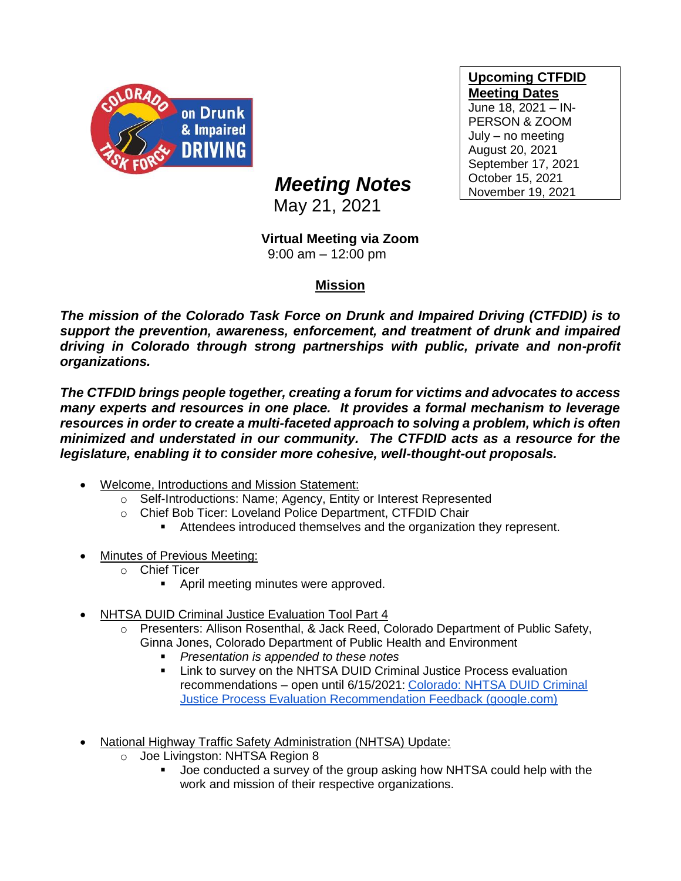

## **Upcoming CTFDID Meeting Dates** June 18, 2021 – IN-PERSON & ZOOM July – no meeting August 20, 2021 September 17, 2021 October 15, 2021 November 19, 2021

## *Meeting Notes*

May 21, 2021

## **Virtual Meeting via Zoom**

9:00 am – 12:00 pm

## **Mission**

*The mission of the Colorado Task Force on Drunk and Impaired Driving (CTFDID) is to support the prevention, awareness, enforcement, and treatment of drunk and impaired driving in Colorado through strong partnerships with public, private and non-profit organizations.* 

*The CTFDID brings people together, creating a forum for victims and advocates to access many experts and resources in one place. It provides a formal mechanism to leverage*  resources in order to create a multi-faceted approach to solving a problem, which is often *minimized and understated in our community. The CTFDID acts as a resource for the legislature, enabling it to consider more cohesive, well-thought-out proposals.* 

- Welcome, Introductions and Mission Statement:
	- o Self-Introductions: Name; Agency, Entity or Interest Represented
	- o Chief Bob Ticer: Loveland Police Department, CTFDID Chair
		- **EXECTE Attendees introduced themselves and the organization they represent.**
- **Minutes of Previous Meeting:** 
	- o Chief Ticer
		- April meeting minutes were approved.
- NHTSA DUID Criminal Justice Evaluation Tool Part 4
	- Presenters: Allison Rosenthal, & Jack Reed, Colorado Department of Public Safety, Ginna Jones, Colorado Department of Public Health and Environment
		- *Presentation is appended to these notes*
		- Link to survey on the NHTSA DUID Criminal Justice Process evaluation recommendations – open until 6/15/2021: [Colorado: NHTSA DUID Criminal](https://urldefense.proofpoint.com/v2/url?u=https-3A__docs.google.com_forms_d_e_1FAIpQLSf1G-2DEmwKP-5FEZlzC4RtudD1uFKMTw-5F1RzappbY0kblD0WPD5g_viewform-3Fform-3DMY01SV-26OCID-3DMY01SV&d=DwMFaQ&c=sdnEM9SRGFuMt5z5w3AhsPNahmNicq64TgF1JwNR0cs&r=x_0MliinHVq5zY8U_iCio8bxB2ia_xTtLvuvb83avac&m=F7Y0bNWIG2PWbD_3AvnUrRC6nfsKwDmpESSpUxx6YQg&s=X5SrLsKhCYZBKb2E1EnOlL6DAvEirCCK3sZr8dmnQko&e=)  [Justice Process Evaluation Recommendation Feedback \(google.com\)](https://urldefense.proofpoint.com/v2/url?u=https-3A__docs.google.com_forms_d_e_1FAIpQLSf1G-2DEmwKP-5FEZlzC4RtudD1uFKMTw-5F1RzappbY0kblD0WPD5g_viewform-3Fform-3DMY01SV-26OCID-3DMY01SV&d=DwMFaQ&c=sdnEM9SRGFuMt5z5w3AhsPNahmNicq64TgF1JwNR0cs&r=x_0MliinHVq5zY8U_iCio8bxB2ia_xTtLvuvb83avac&m=F7Y0bNWIG2PWbD_3AvnUrRC6nfsKwDmpESSpUxx6YQg&s=X5SrLsKhCYZBKb2E1EnOlL6DAvEirCCK3sZr8dmnQko&e=)
- National Highway Traffic Safety Administration (NHTSA) Update:
	- o Joe Livingston: NHTSA Region 8
		- Joe conducted a survey of the group asking how NHTSA could help with the work and mission of their respective organizations.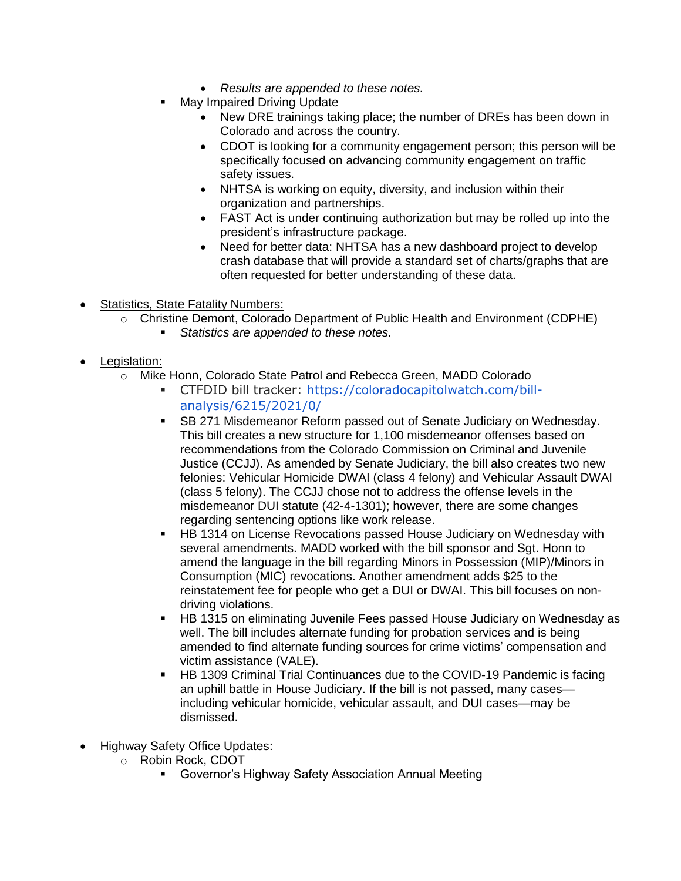- *Results are appended to these notes.*
- May Impaired Driving Update
	- New DRE trainings taking place; the number of DREs has been down in Colorado and across the country.
	- CDOT is looking for a community engagement person; this person will be specifically focused on advancing community engagement on traffic safety issues.
	- NHTSA is working on equity, diversity, and inclusion within their organization and partnerships.
	- FAST Act is under continuing authorization but may be rolled up into the president's infrastructure package.
	- Need for better data: NHTSA has a new dashboard project to develop crash database that will provide a standard set of charts/graphs that are often requested for better understanding of these data.
- Statistics, State Fatality Numbers:
	- o Christine Demont, Colorado Department of Public Health and Environment (CDPHE)
		- *Statistics are appended to these notes.*
- Legislation:
	- o Mike Honn, Colorado State Patrol and Rebecca Green, MADD Colorado
		- CTFDID bill tracker: [https://coloradocapitolwatch.com/bill](https://urldefense.com/v3/__https:/coloradocapitolwatch.com/bill-analysis/6215/2021/0/__;!!PUG2raq7KiCZwBk!IQrTk8HzA_jb86M4wO5o7uLZlLbtAhjgGXSVcdTU8l46hzmmnFjPFY751aa6Adr2KVl6ng$)[analysis/6215/2021/0/](https://urldefense.com/v3/__https:/coloradocapitolwatch.com/bill-analysis/6215/2021/0/__;!!PUG2raq7KiCZwBk!IQrTk8HzA_jb86M4wO5o7uLZlLbtAhjgGXSVcdTU8l46hzmmnFjPFY751aa6Adr2KVl6ng$)
		- SB 271 Misdemeanor Reform passed out of Senate Judiciary on Wednesday. This bill creates a new structure for 1,100 misdemeanor offenses based on recommendations from the Colorado Commission on Criminal and Juvenile Justice (CCJJ). As amended by Senate Judiciary, the bill also creates two new felonies: Vehicular Homicide DWAI (class 4 felony) and Vehicular Assault DWAI (class 5 felony). The CCJJ chose not to address the offense levels in the misdemeanor DUI statute (42-4-1301); however, there are some changes regarding sentencing options like work release.
		- HB 1314 on License Revocations passed House Judiciary on Wednesday with several amendments. MADD worked with the bill sponsor and Sgt. Honn to amend the language in the bill regarding Minors in Possession (MIP)/Minors in Consumption (MIC) revocations. Another amendment adds \$25 to the reinstatement fee for people who get a DUI or DWAI. This bill focuses on nondriving violations.
		- HB 1315 on eliminating Juvenile Fees passed House Judiciary on Wednesday as well. The bill includes alternate funding for probation services and is being amended to find alternate funding sources for crime victims' compensation and victim assistance (VALE).
		- **HB 1309 Criminal Trial Continuances due to the COVID-19 Pandemic is facing** an uphill battle in House Judiciary. If the bill is not passed, many cases including vehicular homicide, vehicular assault, and DUI cases—may be dismissed.
- **Highway Safety Office Updates:** 
	- o Robin Rock, CDOT
		- Governor's Highway Safety Association Annual Meeting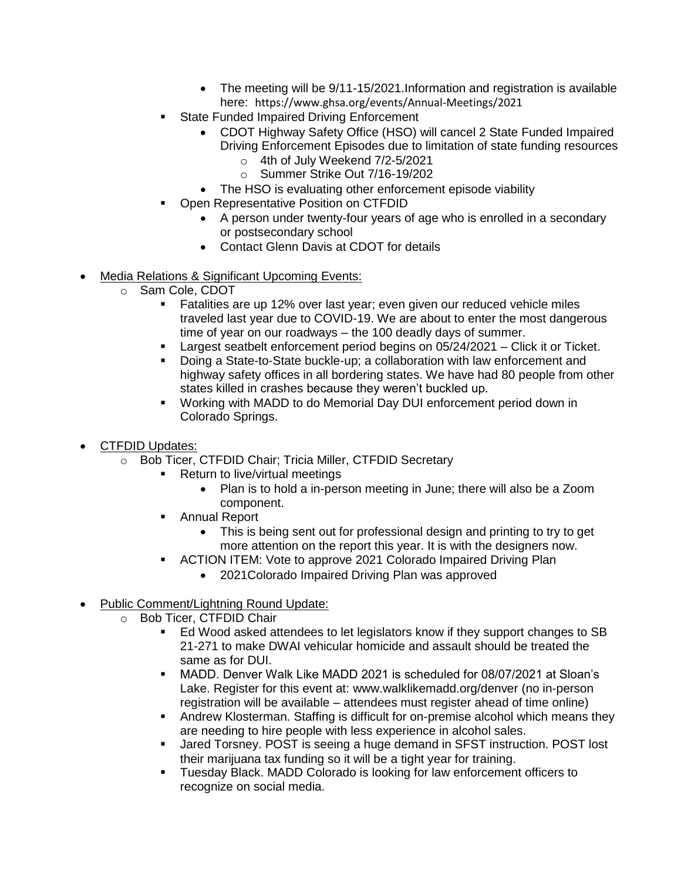- The meeting will be  $9/11$ -15/2021.Information and registration is available here: <https://www.ghsa.org/events/Annual-Meetings/2021>
- State Funded Impaired Driving Enforcement
	- CDOT Highway Safety Office (HSO) will cancel 2 State Funded Impaired Driving Enforcement Episodes due to limitation of state funding resources
		- o 4th of July Weekend 7/2-5/2021
		- o Summer Strike Out 7/16-19/202
	- The HSO is evaluating other enforcement episode viability
- Open Representative Position on CTFDID
	- A person under twenty-four years of age who is enrolled in a secondary or postsecondary school
	- Contact Glenn Davis at CDOT for details
- Media Relations & Significant Upcoming Events:
	- o Sam Cole, CDOT
		- **E** Fatalities are up 12% over last year; even given our reduced vehicle miles traveled last year due to COVID-19. We are about to enter the most dangerous time of year on our roadways – the 100 deadly days of summer.
		- Largest seatbelt enforcement period begins on 05/24/2021 Click it or Ticket.
		- Doing a State-to-State buckle-up; a collaboration with law enforcement and highway safety offices in all bordering states. We have had 80 people from other states killed in crashes because they weren't buckled up.
		- Working with MADD to do Memorial Day DUI enforcement period down in Colorado Springs.
- CTFDID Updates:
	- o Bob Ticer, CTFDID Chair; Tricia Miller, CTFDID Secretary
		- Return to live/virtual meetings
			- Plan is to hold a in-person meeting in June; there will also be a Zoom component.
		- Annual Report
			- This is being sent out for professional design and printing to try to get more attention on the report this year. It is with the designers now.
		- **EXECTION ITEM: Vote to approve 2021 Colorado Impaired Driving Plan** 
			- 2021Colorado Impaired Driving Plan was approved
- Public Comment/Lightning Round Update:
	- o Bob Ticer, CTFDID Chair
		- Ed Wood asked attendees to let legislators know if they support changes to SB 21-271 to make DWAI vehicular homicide and assault should be treated the same as for DUI.
		- MADD. Denver Walk Like MADD 2021 is scheduled for 08/07/2021 at Sloan's Lake. Register for this event at: [www.walklikemadd.org/denver](https://urldefense.com/v3/__https:/nam12.safelinks.protection.outlook.com/?url=http*3A*2F*2Fwww.walklikemadd.org*2Fdenver&data=04*7C01*7CRebecca.Green*40madd.org*7C2ccedeb6585d456e089808d916280759*7C4d97059f5f7e491b8c1e8ff3eb6788c0*7C0*7C0*7C637565184002856227*7CUnknown*7CTWFpbGZsb3d8eyJWIjoiMC4wLjAwMDAiLCJQIjoiV2luMzIiLCJBTiI6Ik1haWwiLCJXVCI6Mn0*3D*7C1000&sdata=KWG2VPF4*2Bw4NCImLsK3cKEO04lLax*2BB1QzL2d8LZSkE*3D&reserved=0__;JSUlJSUlJSUlJSUlJSUlJSUlJQ!!PUG2raq7KiCZwBk!IBWYn7lfwtq174Sne7w63lDDHUa2IkChVe2fUNodUiyN7O16MrdF7BLQWuMaqyruRyjalg$) (no in-person registration will be available – attendees must register ahead of time online)
		- **Andrew Klosterman. Staffing is difficult for on-premise alcohol which means they** are needing to hire people with less experience in alcohol sales.
		- **■** Jared Torsney. POST is seeing a huge demand in SFST instruction. POST lost their marijuana tax funding so it will be a tight year for training.
		- Tuesday Black. MADD Colorado is looking for law enforcement officers to recognize on social media.